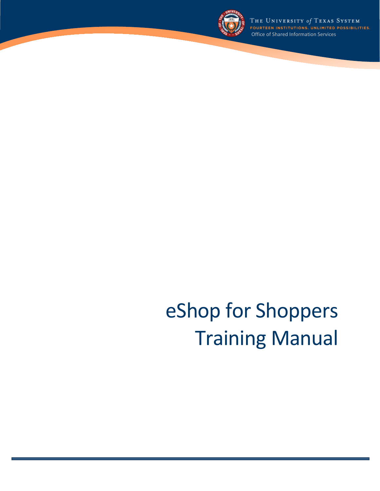

THE UNIVERSITY of TEXAS SYSTEM<br>fourteen institutions. unlimited possibilities. Office of Shared Information Services

# eShop for Shoppers Training Manual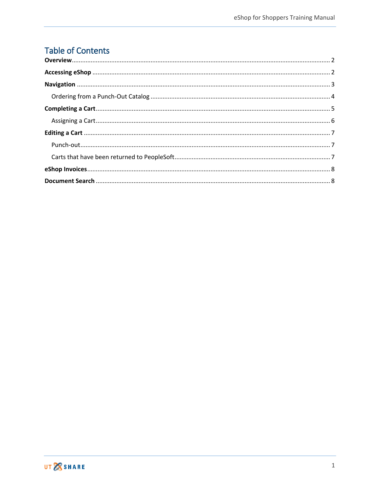## Table of Contents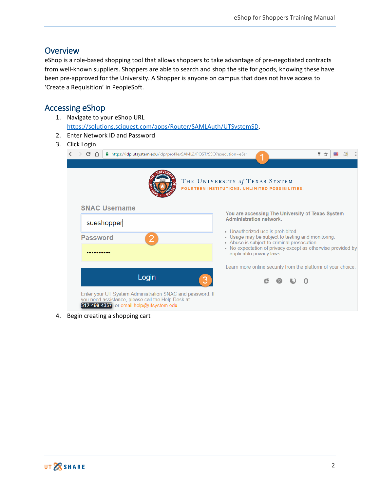## <span id="page-2-0"></span>**Overview**

eShop is a role-based shopping tool that allows shoppers to take advantage of pre-negotiated contracts from well-known suppliers. Shoppers are able to search and shop the site for goods, knowing these have been pre-approved for the University. A Shopper is anyone on campus that does not have access to 'Create a Requisition' in PeopleSoft.

## <span id="page-2-1"></span>Accessing eShop

- 1. Navigate to your eShop URL [https://solutions.sciquest.com/apps/Router/SAMLAuth/UTSystemSD.](https://solutions.sciquest.com/apps/Router/SAMLAuth/UTSystemSD)
- 2. Enter Network ID and Password
- 3. Click Login

| $\leftarrow$ $\rightarrow$<br>CΔ | ■ https://idp.utsystem.edu/idp/profile/SAML2/POST/SSO?execution=e5s1                                                                                       | ♥ ☆                                                                                                                                    |
|----------------------------------|------------------------------------------------------------------------------------------------------------------------------------------------------------|----------------------------------------------------------------------------------------------------------------------------------------|
|                                  |                                                                                                                                                            | THE UNIVERSITY of TEXAS SYSTEM<br>FOURTEEN INSTITUTIONS, UNLIMITED POSSIBILITIES.                                                      |
|                                  | <b>SNAC Username</b>                                                                                                                                       | You are accessing The University of Texas System                                                                                       |
|                                  | sueshopper                                                                                                                                                 | <b>Administration network.</b>                                                                                                         |
| <b>Password</b>                  |                                                                                                                                                            | • Unauthorized use is prohibited.<br>• Usage may be subject to testing and monitoring.                                                 |
|                                  |                                                                                                                                                            | • Abuse is subject to criminal prosecution.<br>• No expectation of privacy except as otherwise provided by<br>applicable privacy laws. |
|                                  |                                                                                                                                                            | Learn more online security from the platform of your choice.                                                                           |
|                                  | Login                                                                                                                                                      |                                                                                                                                        |
|                                  | Enter your UT System Administration SNAC and password. If<br>you need assistance, please call the Help Desk at<br>512-499-4357 or email help@utsystem.edu. |                                                                                                                                        |

4. Begin creating a shopping cart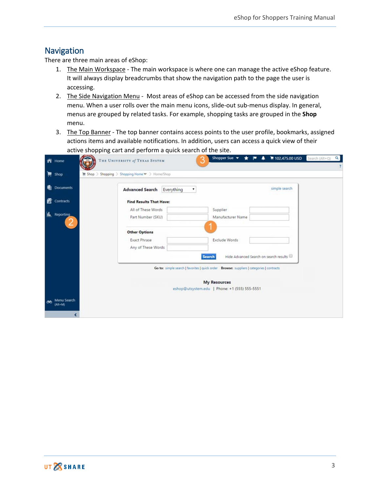## <span id="page-3-0"></span>Navigation

There are three main areas of eShop:

- 1. The Main Workspace The main workspace is where one can manage the active eShop feature. It will always display breadcrumbs that show the navigation path to the page the user is accessing.
- 2. The Side Navigation Menu Most areas of eShop can be accessed from the side navigation menu. When a user rolls over the main menu icons, slide-out sub-menus display. In general, menus are grouped by related tasks. For example, shopping tasks are grouped in the **Shop** menu.
- 3. The Top Banner The top banner contains access points to the user profile, bookmarks, assigned actions items and available notifications. In addition, users can access a quick view of their active shopping cart and perform a quick search of the site.

<span id="page-3-1"></span>

| ñ        | Home                      | THE UNIVERSITY of TEXAS SYSTEM                                   |                                                                                           | Shopper Sue v                                 | 102,475.00 USD Search (Alt+Q)<br>▲<br>★ 1* | $\alpha$ |
|----------|---------------------------|------------------------------------------------------------------|-------------------------------------------------------------------------------------------|-----------------------------------------------|--------------------------------------------|----------|
| Ħ        | Shop                      | <b>WE Shop &gt; Shopping &gt; Shopping Home ▽ &gt; Home/Shop</b> |                                                                                           |                                               |                                            |          |
| ۰        | <b>Documents</b>          | <b>Advanced Search</b>                                           | Everything<br>۰                                                                           |                                               | simple search                              |          |
| 咨        | <b>Contracts</b>          | <b>Find Results That Have:</b>                                   |                                                                                           |                                               |                                            |          |
|          |                           | All of These Words                                               |                                                                                           | Supplier                                      |                                            |          |
| h.       | <b>Reporting</b>          | Part Number (SKU)                                                |                                                                                           | Manufacturer Name                             |                                            |          |
|          |                           |                                                                  |                                                                                           |                                               |                                            |          |
|          |                           | <b>Other Options</b>                                             |                                                                                           |                                               |                                            |          |
|          |                           | <b>Exact Phrase</b>                                              |                                                                                           | Exclude Words                                 |                                            |          |
|          |                           | Any of These Words                                               |                                                                                           |                                               |                                            |          |
|          |                           |                                                                  | Search                                                                                    |                                               | Hide Advanced Search on search results     |          |
|          |                           |                                                                  | Go to: simple search   favorites   quick order Browse: suppliers   categories   contracts |                                               |                                            |          |
|          |                           |                                                                  |                                                                                           |                                               |                                            |          |
|          |                           |                                                                  |                                                                                           | <b>My Resources</b>                           |                                            |          |
|          |                           |                                                                  |                                                                                           | eshop@utsystem.edu   Phone: +1 (555) 555-5551 |                                            |          |
| $\infty$ | Menu Search<br>$(A)$ t+M) |                                                                  |                                                                                           |                                               |                                            |          |
|          |                           |                                                                  |                                                                                           |                                               |                                            |          |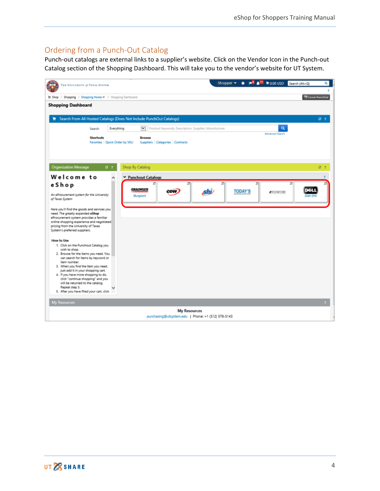## Ordering from a Punch-Out Catalog

Punch-out catalogs are external links to a supplier's website. Click on the Vendor Icon in the Punch-out Catalog section of the Shopping Dashboard. This will take you to the vendor's website for UT System.

| THE UNIVERSITY of TEXAS SYSTEM                                                    |                              |                 |                 |                     |   |                                |              |                                                       | Shopper $\blacktriangledown$ |                |   | $\star$ $\mathsf{P}^5$ $\mathsf{A}^{11}$ magausp | Search (Alt+Q) |                           | ۵ı |
|-----------------------------------------------------------------------------------|------------------------------|-----------------|-----------------|---------------------|---|--------------------------------|--------------|-------------------------------------------------------|------------------------------|----------------|---|--------------------------------------------------|----------------|---------------------------|----|
| Shopping > Shopping Home $\mathbf{v}$ > Shopping Dashboard<br><b>III</b> Shop     |                              |                 |                 |                     |   |                                |              |                                                       |                              |                |   |                                                  |                | <b>Ci Cancel PunchOut</b> |    |
| <b>Shopping Dashboard</b>                                                         |                              |                 |                 |                     |   |                                |              |                                                       |                              |                |   |                                                  |                |                           |    |
| Search From All Hosted Catalogs (Does Not Include PunchOut Catalogs)              |                              |                 |                 |                     |   |                                |              |                                                       |                              |                |   |                                                  |                | $O-2$                     |    |
|                                                                                   | Search                       | Everything      |                 | $\checkmark$        |   |                                |              | Product Keywords, Description, Supplier, Manufacturer |                              |                |   | $\alpha$                                         |                |                           |    |
|                                                                                   | <b>Shortcuts</b>             |                 |                 | Browse              |   |                                |              |                                                       |                              |                |   | <b>Advanced Search</b>                           |                |                           |    |
|                                                                                   | Favorites Quick Order by SKU |                 |                 |                     |   | Suppliers Categories Contracts |              |                                                       |                              |                |   |                                                  |                |                           |    |
|                                                                                   |                              |                 |                 |                     |   |                                |              |                                                       |                              |                |   |                                                  |                |                           |    |
| <b>Organization Message</b>                                                       |                              | $\sigma$ $\tau$ | Shop By Catalog |                     |   |                                |              |                                                       |                              |                |   |                                                  |                | C <sub>2</sub>            |    |
|                                                                                   |                              |                 |                 |                     |   |                                |              |                                                       |                              |                |   |                                                  |                |                           |    |
| Welcome to<br>eShop                                                               |                              |                 |                 | ▼ Punchout Catalogs | π |                                | 皿            |                                                       | 司                            |                | Ξ |                                                  | $\overline{a}$ |                           |    |
|                                                                                   |                              |                 |                 | <b>GRAINGER</b>     |   | CDW                            |              | shi                                                   |                              | <b>TODAY'S</b> |   | <b>ARCOVECHD</b>                                 |                |                           |    |
| An eProcurement system for the University<br>of Texas System                      |                              |                 |                 | (Burgoon)           |   |                                |              |                                                       |                              |                |   |                                                  |                |                           |    |
| Here you'll find the goods and services you                                       |                              |                 |                 |                     |   |                                |              |                                                       |                              |                |   |                                                  |                |                           |    |
| need. The greatly expanded eShop<br>eProcurement system provides a familiar       |                              |                 |                 |                     |   |                                |              |                                                       |                              |                |   |                                                  |                |                           |    |
| online shopping experience and negotiated<br>pricing from the University of Texas |                              |                 |                 |                     |   |                                |              |                                                       |                              |                |   |                                                  |                |                           |    |
| System's preferred suppliers.                                                     |                              |                 |                 |                     |   |                                |              |                                                       |                              |                |   |                                                  |                |                           |    |
| How to Use                                                                        |                              |                 |                 |                     |   |                                |              |                                                       |                              |                |   |                                                  |                |                           |    |
| 1. Click on the Punchout Catalog you<br>wish to shop.                             |                              |                 |                 |                     |   |                                |              |                                                       |                              |                |   |                                                  |                |                           |    |
| 2. Browse for the items you need. You<br>can search for items by keyword or       |                              |                 |                 |                     |   |                                |              |                                                       |                              |                |   |                                                  |                |                           |    |
| item number.<br>3. When you find the item you need.                               |                              |                 |                 |                     |   |                                |              |                                                       |                              |                |   |                                                  |                |                           |    |
| just add it in your shopping cart.                                                |                              |                 |                 |                     |   |                                |              |                                                       |                              |                |   |                                                  |                |                           |    |
| 4. If you have more shopping to do,<br>click "continue shopping" and you          |                              |                 |                 |                     |   |                                |              |                                                       |                              |                |   |                                                  |                |                           |    |
| will be returned to the catalog.<br>Repeat step 3.                                |                              |                 |                 |                     |   |                                |              |                                                       |                              |                |   |                                                  |                |                           |    |
| 5. After you have filled your cart, click                                         |                              |                 |                 |                     |   |                                |              |                                                       |                              |                |   |                                                  |                |                           |    |
| My Resources                                                                      |                              |                 |                 |                     |   |                                |              |                                                       |                              |                |   |                                                  |                |                           |    |
|                                                                                   |                              |                 |                 |                     |   |                                | My Resources |                                                       |                              |                |   |                                                  |                |                           |    |
|                                                                                   |                              |                 |                 |                     |   |                                |              | purchasing@utsystem.edu   Phone: +1 (512) 579-5143    |                              |                |   |                                                  |                |                           |    |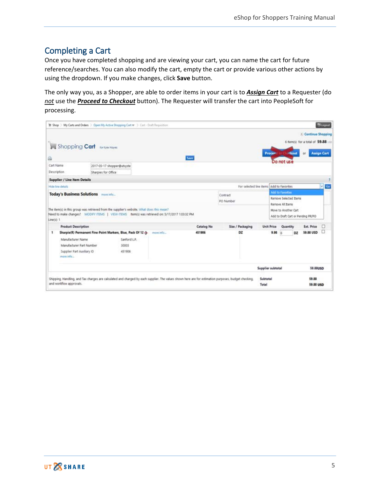## <span id="page-5-0"></span>Completing a Cart

Once you have completed shopping and are viewing your cart, you can name the cart for future reference/searches. You can also modify the cart, empty the cart or provide various other actions by using the dropdown. If you make changes, click **Save** button.

The only way you, as a Shopper, are able to order items in your cart is to *Assign Cart* to a Requester (do *not* use the *Proceed to Checkout* button). The Requester will transfer the cart into PeopleSoft for processing.

|             | Shop ) My Carts and Orders ) Open My Active Shopping Cart $w$ ) Cart - Draft Requisition                                                                                                    |                            |           |            |           |                                          |                   |                       |                      |               |                                                                   | Blogout            |
|-------------|---------------------------------------------------------------------------------------------------------------------------------------------------------------------------------------------|----------------------------|-----------|------------|-----------|------------------------------------------|-------------------|-----------------------|----------------------|---------------|-------------------------------------------------------------------|--------------------|
|             | Shopping Cart <b>britaining</b>                                                                                                                                                             |                            |           |            |           |                                          |                   | Proces                |                      | <b>Hitaut</b> | Continue Shopping<br>6 Rem(s) for a total of 59.88<br>$_{\rm cr}$ | <b>Assign Cart</b> |
| a           |                                                                                                                                                                                             |                            |           | Save       |           |                                          |                   |                       | Do not use           |               |                                                                   |                    |
| Cart Name   |                                                                                                                                                                                             | 2017-05-17 shopper@utsyste |           |            |           |                                          |                   |                       |                      |               |                                                                   |                    |
| Description | Sharpies for Office                                                                                                                                                                         |                            |           |            |           |                                          |                   |                       |                      |               |                                                                   |                    |
|             | <b>Supplier / Line Item Details</b>                                                                                                                                                         |                            |           |            |           |                                          |                   |                       |                      |               |                                                                   |                    |
|             | Hide line details                                                                                                                                                                           |                            |           |            |           | For selected line items Add to Favorites |                   |                       |                      |               |                                                                   | Gs<br>v            |
|             | Today's Business Solutions more info                                                                                                                                                        |                            |           |            | Contract  |                                          |                   |                       | Add to Favortee      |               |                                                                   |                    |
|             |                                                                                                                                                                                             |                            |           |            | PO Number |                                          |                   | Remove Selected Items |                      |               |                                                                   |                    |
|             |                                                                                                                                                                                             |                            |           |            |           |                                          |                   |                       | Remove Al Items      |               |                                                                   |                    |
| Line/sit 1  | The item(s) in this group was retrieved from the supplier's website. What does this mean?<br>Need to make changes? MODIFY ITEMS   VEW ITEMS   hem(s) was retrieved on: 5/17/2017 1:03:32 PM |                            |           |            |           |                                          |                   |                       | Move to Another Cart |               | Add to Draft Cart or Pending PR/PD                                |                    |
|             | <b>Product Description</b>                                                                                                                                                                  |                            |           | Catalog No |           | Size / Packaging                         | <b>Unit Price</b> |                       | Quantity             |               | Ext. Price                                                        | o                  |
| ٠           | Sharpie(R) Permanent Fine-Point Markers, Blue, Pack Of 12 +                                                                                                                                 |                            | more info | 451906     |           | DZ                                       |                   | 9.98                  | $\frac{1}{2}$        | DZ            | <b>59.88 USD</b>                                                  | o                  |
|             | Manufacturer Name                                                                                                                                                                           | Sanford LP.                |           |            |           |                                          |                   |                       |                      |               |                                                                   |                    |
|             | Manufacturer Part Number                                                                                                                                                                    | 30003                      |           |            |           |                                          |                   |                       |                      |               |                                                                   |                    |
|             | Supplier Part Auxiliary ID<br>more info                                                                                                                                                     | 451906                     |           |            |           |                                          |                   |                       |                      |               |                                                                   |                    |
|             |                                                                                                                                                                                             |                            |           |            |           |                                          | Supplier subtotal |                       |                      |               | 59.88USD                                                          |                    |
|             | Shipping, Handling, and Tax charges are calculated and charged by each supplier. The values shown here are for estimation purposes, budget checking,<br>and workflow approvals.             |                            |           |            |           |                                          | Subtotal<br>Total |                       |                      |               | 59.88<br><b>59.88 USD</b>                                         |                    |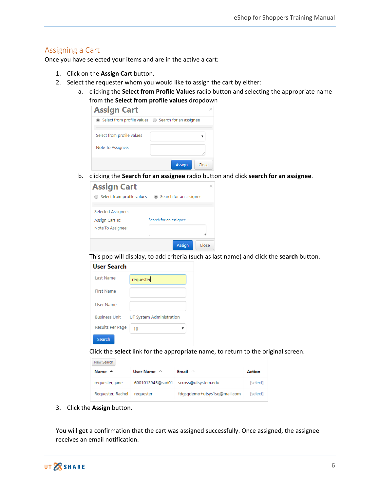#### <span id="page-6-0"></span>Assigning a Cart

Once you have selected your items and are in the active a cart:

- 1. Click on the **Assign Cart** button.
- 2. Select the requester whom you would like to assign the cart by either:
	- a. clicking the **Select from Profile Values** radio button and selecting the appropriate name from the **Select from profile values** dropdown

| <b>Assign Cart</b>                                    |               |       |
|-------------------------------------------------------|---------------|-------|
| ◎ Select from profile values ● Search for an assignee |               |       |
| Select from profile values                            |               |       |
| Note To Assignee:                                     |               |       |
|                                                       |               |       |
|                                                       | <b>Assign</b> | Close |

b. clicking the **Search for an assignee** radio button and click **search for an assignee**.

| <b>Assign Cart</b>                                         |                        |  |
|------------------------------------------------------------|------------------------|--|
| Select from profile values                                 | Search for an assignee |  |
| Selected Assignee:<br>Assign Cart To:<br>Note To Assignee: | Search for an assignee |  |
|                                                            | <b>Assign</b><br>Close |  |

This pop will display, to add criteria (such as last name) and click the **search** button.

| User Search          |                          |
|----------------------|--------------------------|
| <b>Last Name</b>     | requester                |
| <b>First Name</b>    |                          |
| User Name            |                          |
| <b>Business Unit</b> | UT System Administration |
| Results Per Page     | 10                       |
| Search               |                          |

Click the **select** link for the appropriate name, to return to the original screen.

| New Search        |                       |                             |               |
|-------------------|-----------------------|-----------------------------|---------------|
| Name $\triangle$  | User Name $\triangle$ | Email $\triangle$           | <b>Action</b> |
| requester, jane   | 6001013945@sad01      | scross@utsystem.edu         | [select]      |
| Requester, Rachel | requester             | fdgsgdemo+utsys1sg@mail.com | [select]      |

3. Click the **Assign** button.

You will get a confirmation that the cart was assigned successfully. Once assigned, the assignee receives an email notification.

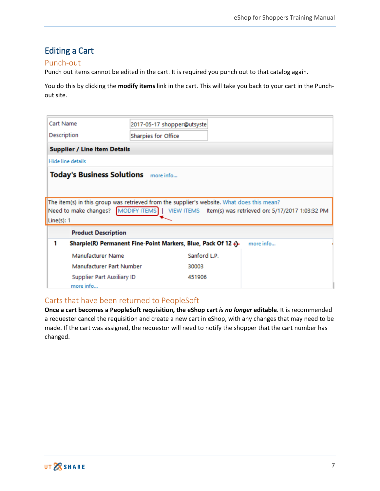## <span id="page-7-0"></span>Editing a Cart

#### <span id="page-7-1"></span>Punch-out

Punch out items cannot be edited in the cart. It is required you punch out to that catalog again.

You do this by clicking the **modify items** link in the cart. This will take you back to your cart in the Punchout site.

| Cart Name                                   |                                                                            | 2017-05-17 shopper@utsyste                                                                |                                                                                                |  |  |  |
|---------------------------------------------|----------------------------------------------------------------------------|-------------------------------------------------------------------------------------------|------------------------------------------------------------------------------------------------|--|--|--|
| Description                                 | <b>Sharpies for Office</b>                                                 |                                                                                           |                                                                                                |  |  |  |
| <b>Supplier / Line Item Details</b>         |                                                                            |                                                                                           |                                                                                                |  |  |  |
| Hide line details                           |                                                                            |                                                                                           |                                                                                                |  |  |  |
| <b>Today's Business Solutions</b> more info |                                                                            |                                                                                           |                                                                                                |  |  |  |
| Line(s): 1                                  |                                                                            | The item(s) in this group was retrieved from the supplier's website. What does this mean? | Need to make changes? MODIFY ITEMS   VIEW ITEMS Item(s) was retrieved on: 5/17/2017 1:03:32 PM |  |  |  |
| <b>Product Description</b>                  |                                                                            |                                                                                           |                                                                                                |  |  |  |
| 1                                           | Sharpie(R) Permanent Fine-Point Markers, Blue, Pack Of 12 ()-<br>more info |                                                                                           |                                                                                                |  |  |  |
|                                             | Manufacturer Name<br>Sanford L.P.                                          |                                                                                           |                                                                                                |  |  |  |
|                                             | Manufacturer Part Number<br>30003                                          |                                                                                           |                                                                                                |  |  |  |
| more info                                   | Supplier Part Auxiliary ID                                                 | 451906                                                                                    |                                                                                                |  |  |  |

#### <span id="page-7-2"></span>Carts that have been returned to PeopleSoft

**Once a cart becomes a PeopleSoft requisition, the eShop cart** *is no longer* **editable**. It is recommended a requester cancel the requisition and create a new cart in eShop, with any changes that may need to be made. If the cart was assigned, the requestor will need to notify the shopper that the cart number has changed.